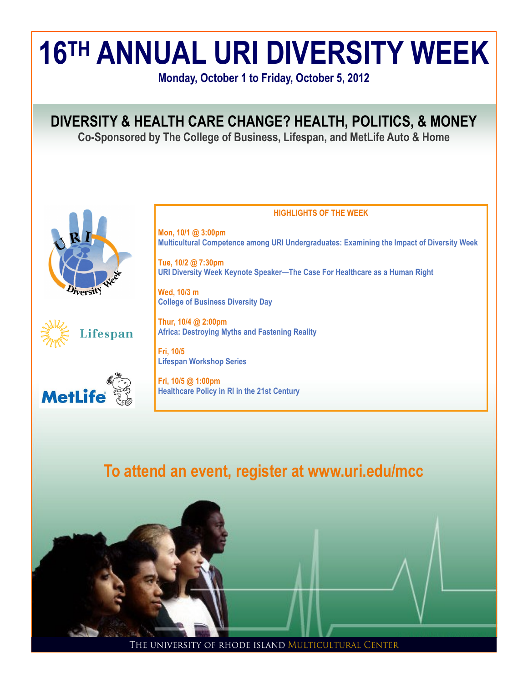

THE UNIVERSITY OF RHODE ISLAND MULTICULTURAL CENTER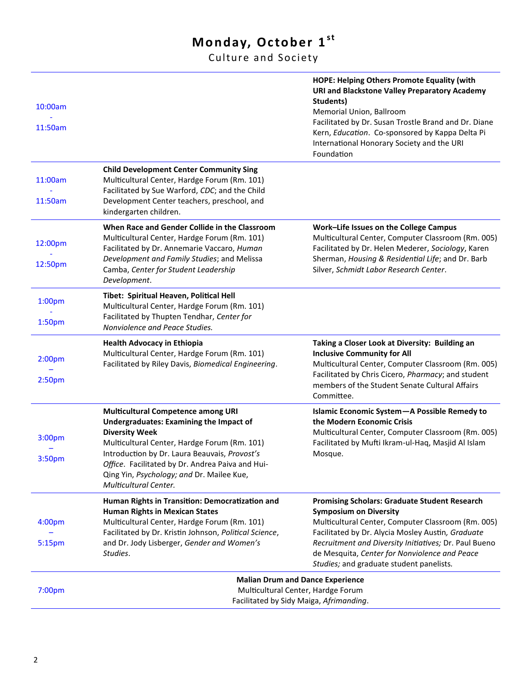## **Monday, October 1st**

Culture and Society

| 10:00am<br>11:50am                       |                                                                                                                                                                                                                                                                                                                                                 | HOPE: Helping Others Promote Equality (with<br><b>URI and Blackstone Valley Preparatory Academy</b><br>Students)<br>Memorial Union, Ballroom<br>Facilitated by Dr. Susan Trostle Brand and Dr. Diane<br>Kern, Education. Co-sponsored by Kappa Delta Pi<br>International Honorary Society and the URI<br>Foundation                                    |
|------------------------------------------|-------------------------------------------------------------------------------------------------------------------------------------------------------------------------------------------------------------------------------------------------------------------------------------------------------------------------------------------------|--------------------------------------------------------------------------------------------------------------------------------------------------------------------------------------------------------------------------------------------------------------------------------------------------------------------------------------------------------|
| 11:00am<br>11:50am                       | <b>Child Development Center Community Sing</b><br>Multicultural Center, Hardge Forum (Rm. 101)<br>Facilitated by Sue Warford, CDC; and the Child<br>Development Center teachers, preschool, and<br>kindergarten children.                                                                                                                       |                                                                                                                                                                                                                                                                                                                                                        |
| 12:00pm<br>12:50pm                       | When Race and Gender Collide in the Classroom<br>Multicultural Center, Hardge Forum (Rm. 101)<br>Facilitated by Dr. Annemarie Vaccaro, Human<br>Development and Family Studies; and Melissa<br>Camba, Center for Student Leadership<br>Development.                                                                                             | Work-Life Issues on the College Campus<br>Multicultural Center, Computer Classroom (Rm. 005)<br>Facilitated by Dr. Helen Mederer, Sociology, Karen<br>Sherman, Housing & Residential Life; and Dr. Barb<br>Silver, Schmidt Labor Research Center.                                                                                                      |
| 1:00 <sub>pm</sub><br>1:50 <sub>pm</sub> | Tibet: Spiritual Heaven, Political Hell<br>Multicultural Center, Hardge Forum (Rm. 101)<br>Facilitated by Thupten Tendhar, Center for<br>Nonviolence and Peace Studies.                                                                                                                                                                         |                                                                                                                                                                                                                                                                                                                                                        |
| 2:00 <sub>pm</sub><br>2:50 <sub>pm</sub> | <b>Health Advocacy in Ethiopia</b><br>Multicultural Center, Hardge Forum (Rm. 101)<br>Facilitated by Riley Davis, Biomedical Engineering.                                                                                                                                                                                                       | Taking a Closer Look at Diversity: Building an<br><b>Inclusive Community for All</b><br>Multicultural Center, Computer Classroom (Rm. 005)<br>Facilitated by Chris Cicero, Pharmacy; and student<br>members of the Student Senate Cultural Affairs<br>Committee.                                                                                       |
| 3:00pm<br>3:50 <sub>pm</sub>             | <b>Multicultural Competence among URI</b><br><b>Undergraduates: Examining the Impact of</b><br><b>Diversity Week</b><br>Multicultural Center, Hardge Forum (Rm. 101)<br>Introduction by Dr. Laura Beauvais, Provost's<br>Office. Facilitated by Dr. Andrea Paiva and Hui-<br>Qing Yin, Psychology; and Dr. Mailee Kue,<br>Multicultural Center. | Islamic Economic System-A Possible Remedy to<br>the Modern Economic Crisis<br>Multicultural Center, Computer Classroom (Rm. 005)<br>Facilitated by Mufti Ikram-ul-Haq, Masjid Al Islam<br>Mosque.                                                                                                                                                      |
| 4:00 <sub>pm</sub><br>5:15pm             | Human Rights in Transition: Democratization and<br><b>Human Rights in Mexican States</b><br>Multicultural Center, Hardge Forum (Rm. 101)<br>Facilitated by Dr. Kristin Johnson, Political Science,<br>and Dr. Jody Lisberger, Gender and Women's<br>Studies.                                                                                    | <b>Promising Scholars: Graduate Student Research</b><br><b>Symposium on Diversity</b><br>Multicultural Center, Computer Classroom (Rm. 005)<br>Facilitated by Dr. Alycia Mosley Austin, Graduate<br>Recruitment and Diversity Initiatives; Dr. Paul Bueno<br>de Mesquita, Center for Nonviolence and Peace<br>Studies; and graduate student panelists. |
| 7:00 <sub>pm</sub>                       | <b>Malian Drum and Dance Experience</b><br>Multicultural Center, Hardge Forum<br>Facilitated by Sidy Maiga, Afrimanding.                                                                                                                                                                                                                        |                                                                                                                                                                                                                                                                                                                                                        |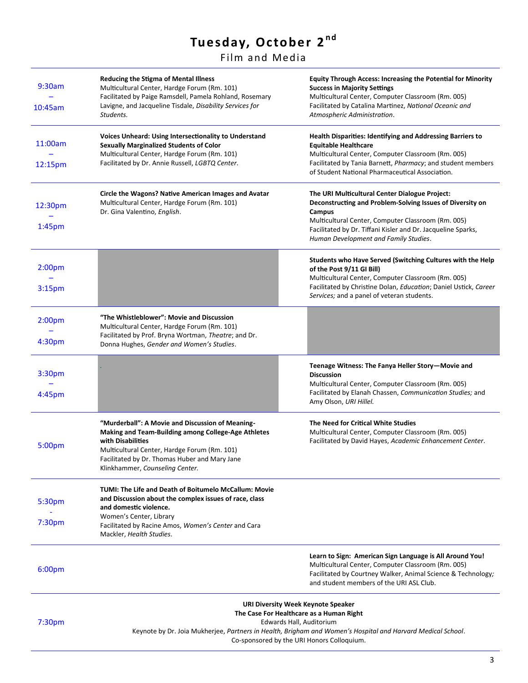# Tuesday, October 2<sup>nd</sup>

Film and Media

| 9:30am<br>10:45am                        | <b>Reducing the Stigma of Mental Illness</b><br>Multicultural Center, Hardge Forum (Rm. 101)<br>Facilitated by Paige Ramsdell, Pamela Rohland, Rosemary<br>Lavigne, and Jacqueline Tisdale, Disability Services for<br>Students.                                               | <b>Equity Through Access: Increasing the Potential for Minority</b><br><b>Success in Majority Settings</b><br>Multicultural Center, Computer Classroom (Rm. 005)<br>Facilitated by Catalina Martinez, National Oceanic and<br>Atmospheric Administration.                            |
|------------------------------------------|--------------------------------------------------------------------------------------------------------------------------------------------------------------------------------------------------------------------------------------------------------------------------------|--------------------------------------------------------------------------------------------------------------------------------------------------------------------------------------------------------------------------------------------------------------------------------------|
| 11:00am<br>12:15pm                       | Voices Unheard: Using Intersectionality to Understand<br><b>Sexually Marginalized Students of Color</b><br>Multicultural Center, Hardge Forum (Rm. 101)<br>Facilitated by Dr. Annie Russell, LGBTQ Center.                                                                     | <b>Health Disparities: Identifying and Addressing Barriers to</b><br><b>Equitable Healthcare</b><br>Multicultural Center, Computer Classroom (Rm. 005)<br>Facilitated by Tania Barnett, Pharmacy; and student members<br>of Student National Pharmaceutical Association.             |
| 12:30pm<br>1:45 <sub>pm</sub>            | Circle the Wagons? Native American Images and Avatar<br>Multicultural Center, Hardge Forum (Rm. 101)<br>Dr. Gina Valentino, English.                                                                                                                                           | The URI Multicultural Center Dialogue Project:<br>Deconstructing and Problem-Solving Issues of Diversity on<br>Campus<br>Multicultural Center, Computer Classroom (Rm. 005)<br>Facilitated by Dr. Tiffani Kisler and Dr. Jacqueline Sparks,<br>Human Development and Family Studies. |
| 2:00 <sub>pm</sub><br>3:15 <sub>pm</sub> |                                                                                                                                                                                                                                                                                | Students who Have Served (Switching Cultures with the Help<br>of the Post 9/11 GI Bill)<br>Multicultural Center, Computer Classroom (Rm. 005)<br>Facilitated by Christine Dolan, Education; Daniel Ustick, Career<br>Services; and a panel of veteran students.                      |
| 2:00 <sub>pm</sub><br>4:30pm             | "The Whistleblower": Movie and Discussion<br>Multicultural Center, Hardge Forum (Rm. 101)<br>Facilitated by Prof. Bryna Wortman, Theatre; and Dr.<br>Donna Hughes, Gender and Women's Studies.                                                                                 |                                                                                                                                                                                                                                                                                      |
| 3:30pm<br>4:45pm                         |                                                                                                                                                                                                                                                                                | Teenage Witness: The Fanya Heller Story-Movie and<br><b>Discussion</b><br>Multicultural Center, Computer Classroom (Rm. 005)<br>Facilitated by Elanah Chassen, Communication Studies; and<br>Amy Olson, URI Hillel.                                                                  |
| 5:00pm                                   | "Murderball": A Movie and Discussion of Meaning-<br>Making and Team-Building among College-Age Athletes<br>with Disabilities<br>Multicultural Center, Hardge Forum (Rm. 101)<br>Facilitated by Dr. Thomas Huber and Mary Jane<br>Klinkhammer, Counseling Center.               | The Need for Critical White Studies<br>Multicultural Center, Computer Classroom (Rm. 005)<br>Facilitated by David Hayes, Academic Enhancement Center.                                                                                                                                |
| 5:30pm<br>7:30pm                         | TUMI: The Life and Death of Boitumelo McCallum: Movie<br>and Discussion about the complex issues of race, class<br>and domestic violence.<br>Women's Center, Library<br>Facilitated by Racine Amos, Women's Center and Cara<br>Mackler, Health Studies.                        |                                                                                                                                                                                                                                                                                      |
| 6:00 <sub>pm</sub>                       |                                                                                                                                                                                                                                                                                | Learn to Sign: American Sign Language is All Around You!<br>Multicultural Center, Computer Classroom (Rm. 005)<br>Facilitated by Courtney Walker, Animal Science & Technology;<br>and student members of the URI ASL Club.                                                           |
| 7:30 <sub>pm</sub>                       | <b>URI Diversity Week Keynote Speaker</b><br>The Case For Healthcare as a Human Right<br>Edwards Hall, Auditorium<br>Keynote by Dr. Joia Mukherjee, Partners in Health, Brigham and Women's Hospital and Harvard Medical School.<br>Co-sponsored by the URI Honors Colloquium. |                                                                                                                                                                                                                                                                                      |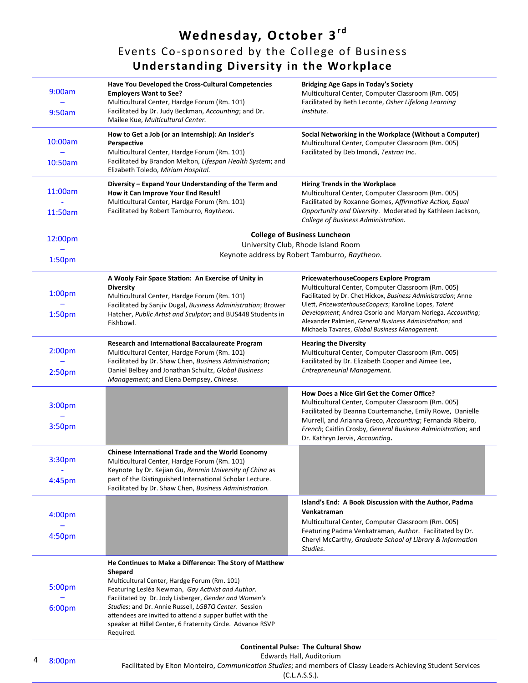**We dnesday, October 3rd** Events Co-sponsored by the College of Business **Understanding Diversity in the Workplace** 

| 9:00am             | Have You Developed the Cross-Cultural Competencies<br><b>Employers Want to See?</b><br>Multicultural Center, Hardge Forum (Rm. 101)                                                           | <b>Bridging Age Gaps in Today's Society</b><br>Multicultural Center, Computer Classroom (Rm. 005)<br>Facilitated by Beth Leconte, Osher Lifelong Learning                                                                  |  |
|--------------------|-----------------------------------------------------------------------------------------------------------------------------------------------------------------------------------------------|----------------------------------------------------------------------------------------------------------------------------------------------------------------------------------------------------------------------------|--|
| 9:50am             | Facilitated by Dr. Judy Beckman, Accounting; and Dr.<br>Mailee Kue, Multicultural Center.                                                                                                     | Institute.                                                                                                                                                                                                                 |  |
| 10:00am            | How to Get a Job (or an Internship): An Insider's<br>Perspective<br>Multicultural Center, Hardge Forum (Rm. 101)<br>Facilitated by Brandon Melton, Lifespan Health System; and                | Social Networking in the Workplace (Without a Computer)<br>Multicultural Center, Computer Classroom (Rm. 005)<br>Facilitated by Deb Imondi, Textron Inc.                                                                   |  |
| 10:50am            | Elizabeth Toledo, Miriam Hospital.                                                                                                                                                            |                                                                                                                                                                                                                            |  |
| 11:00am            | Diversity - Expand Your Understanding of the Term and<br>How it Can Improve Your End Result!<br>Multicultural Center, Hardge Forum (Rm. 101)                                                  | <b>Hiring Trends in the Workplace</b><br>Multicultural Center, Computer Classroom (Rm. 005)<br>Facilitated by Roxanne Gomes, Affirmative Action, Equal                                                                     |  |
| 11:50am            | Facilitated by Robert Tamburro, Raytheon.                                                                                                                                                     | Opportunity and Diversity. Moderated by Kathleen Jackson,<br>College of Business Administration.                                                                                                                           |  |
| 12:00pm            |                                                                                                                                                                                               | <b>College of Business Luncheon</b><br>University Club, Rhode Island Room                                                                                                                                                  |  |
| 1:50pm             |                                                                                                                                                                                               | Keynote address by Robert Tamburro, Raytheon.                                                                                                                                                                              |  |
|                    | A Wooly Fair Space Station: An Exercise of Unity in                                                                                                                                           | PricewaterhouseCoopers Explore Program                                                                                                                                                                                     |  |
| 1:00 <sub>pm</sub> | <b>Diversity</b><br>Multicultural Center, Hardge Forum (Rm. 101)                                                                                                                              | Multicultural Center, Computer Classroom (Rm. 005)<br>Facilitated by Dr. Chet Hickox, Business Administration; Anne<br>Ulett, PricewaterhouseCoopers; Karoline Lopes, Talent                                               |  |
| 1:50pm             | Facilitated by Sanjiv Dugal, Business Administration; Brower<br>Hatcher, Public Artist and Sculptor; and BUS448 Students in<br>Fishbowl.                                                      | Development; Andrea Osorio and Maryam Noriega, Accounting;<br>Alexander Palmieri, General Business Administration; and<br>Michaela Tavares, Global Business Management.                                                    |  |
| 2:00 <sub>pm</sub> | Research and International Baccalaureate Program<br>Multicultural Center, Hardge Forum (Rm. 101)<br>Facilitated by Dr. Shaw Chen, Business Administration;                                    | <b>Hearing the Diversity</b><br>Multicultural Center, Computer Classroom (Rm. 005)<br>Facilitated by Dr. Elizabeth Cooper and Aimee Lee,                                                                                   |  |
| 2:50 <sub>pm</sub> | Daniel Belbey and Jonathan Schultz, Global Business<br>Management; and Elena Dempsey, Chinese.                                                                                                | Entrepreneurial Management.                                                                                                                                                                                                |  |
| 3:00pm             |                                                                                                                                                                                               | How Does a Nice Girl Get the Corner Office?<br>Multicultural Center, Computer Classroom (Rm. 005)<br>Facilitated by Deanna Courtemanche, Emily Rowe, Danielle<br>Murrell, and Arianna Greco, Accounting; Fernanda Ribeiro, |  |
| 3:50pm             |                                                                                                                                                                                               | French; Caitlin Crosby, General Business Administration; and<br>Dr. Kathryn Jervis, Accounting.                                                                                                                            |  |
| 3:30pm             | <b>Chinese International Trade and the World Economy</b><br>Multicultural Center, Hardge Forum (Rm. 101)<br>Keynote by Dr. Kejian Gu, Renmin University of China as                           |                                                                                                                                                                                                                            |  |
| 4:45pm             | part of the Distinguished International Scholar Lecture.<br>Facilitated by Dr. Shaw Chen, Business Administration.                                                                            |                                                                                                                                                                                                                            |  |
|                    |                                                                                                                                                                                               | Island's End: A Book Discussion with the Author, Padma                                                                                                                                                                     |  |
| 4:00 <sub>pm</sub> |                                                                                                                                                                                               | Venkatraman<br>Multicultural Center, Computer Classroom (Rm. 005)                                                                                                                                                          |  |
| 4:50 <sub>pm</sub> |                                                                                                                                                                                               | Featuring Padma Venkatraman, Author. Facilitated by Dr.<br>Cheryl McCarthy, Graduate School of Library & Information<br>Studies.                                                                                           |  |
|                    | He Continues to Make a Difference: The Story of Matthew<br>Shepard                                                                                                                            |                                                                                                                                                                                                                            |  |
| 5:00pm             | Multicultural Center, Hardge Forum (Rm. 101)<br>Featuring Lesléa Newman, Gay Activist and Author.<br>Facilitated by Dr. Jody Lisberger, Gender and Women's                                    |                                                                                                                                                                                                                            |  |
| 6:00pm             | Studies; and Dr. Annie Russell, LGBTQ Center. Session<br>attendees are invited to attend a supper buffet with the<br>speaker at Hillel Center, 6 Fraternity Circle. Advance RSVP<br>Required. |                                                                                                                                                                                                                            |  |
|                    |                                                                                                                                                                                               | <b>Continental Pulse: The Cultural Show</b>                                                                                                                                                                                |  |
| 4<br>8:00pm        |                                                                                                                                                                                               | Edwards Hall, Auditorium<br>Facilitated by Elton Monteiro, Communication Studies; and members of Classy Leaders Achieving Student Services                                                                                 |  |

(C.L.A.S.S.).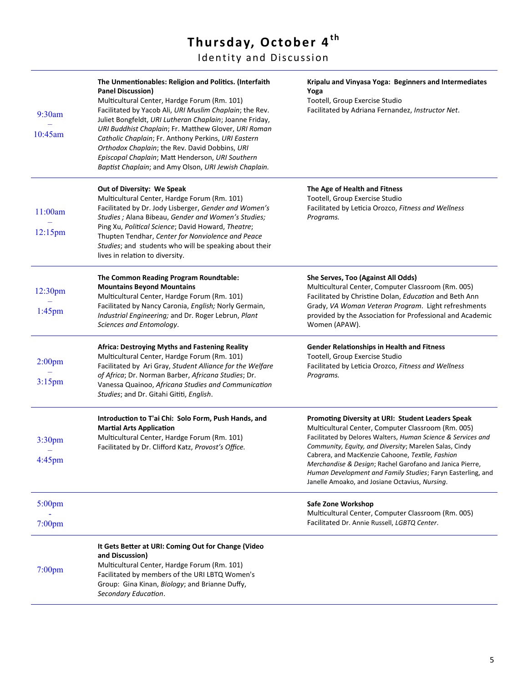## **Thursday, October 4<sup>th</sup>**

Identity and Discussion

| 9:30am<br>10:45am               | The Unmentionables: Religion and Politics. (Interfaith<br><b>Panel Discussion)</b><br>Multicultural Center, Hardge Forum (Rm. 101)<br>Facilitated by Yacob Ali, URI Muslim Chaplain; the Rev.<br>Juliet Bongfeldt, URI Lutheran Chaplain; Joanne Friday,<br>URI Buddhist Chaplain; Fr. Matthew Glover, URI Roman<br>Catholic Chaplain; Fr. Anthony Perkins, URI Eastern<br>Orthodox Chaplain; the Rev. David Dobbins, URI<br>Episcopal Chaplain; Matt Henderson, URI Southern<br>Baptist Chaplain; and Amy Olson, URI Jewish Chaplain. | Kripalu and Vinyasa Yoga: Beginners and Intermediates<br>Yoga<br>Tootell, Group Exercise Studio<br>Facilitated by Adriana Fernandez, Instructor Net.                                                                                                                                                                                                                                                                                                               |
|---------------------------------|----------------------------------------------------------------------------------------------------------------------------------------------------------------------------------------------------------------------------------------------------------------------------------------------------------------------------------------------------------------------------------------------------------------------------------------------------------------------------------------------------------------------------------------|--------------------------------------------------------------------------------------------------------------------------------------------------------------------------------------------------------------------------------------------------------------------------------------------------------------------------------------------------------------------------------------------------------------------------------------------------------------------|
| 11:00am<br>$12:15$ pm           | Out of Diversity: We Speak<br>Multicultural Center, Hardge Forum (Rm. 101)<br>Facilitated by Dr. Jody Lisberger, Gender and Women's<br>Studies ; Alana Bibeau, Gender and Women's Studies;<br>Ping Xu, Political Science; David Howard, Theatre;<br>Thupten Tendhar, Center for Nonviolence and Peace<br>Studies; and students who will be speaking about their<br>lives in relation to diversity.                                                                                                                                     | The Age of Health and Fitness<br>Tootell, Group Exercise Studio<br>Facilitated by Leticia Orozco, Fitness and Wellness<br>Programs.                                                                                                                                                                                                                                                                                                                                |
| 12:30pm<br>$1:45$ pm            | The Common Reading Program Roundtable:<br><b>Mountains Beyond Mountains</b><br>Multicultural Center, Hardge Forum (Rm. 101)<br>Facilitated by Nancy Caronia, English; Norly Germain,<br>Industrial Engineering; and Dr. Roger Lebrun, Plant<br>Sciences and Entomology.                                                                                                                                                                                                                                                                | She Serves, Too (Against All Odds)<br>Multicultural Center, Computer Classroom (Rm. 005)<br>Facilitated by Christine Dolan, Education and Beth Ann<br>Grady, VA Woman Veteran Program. Light refreshments<br>provided by the Association for Professional and Academic<br>Women (APAW).                                                                                                                                                                            |
| 2:00 <sub>pm</sub><br>$3:15$ pm | <b>Africa: Destroying Myths and Fastening Reality</b><br>Multicultural Center, Hardge Forum (Rm. 101)<br>Facilitated by Ari Gray, Student Alliance for the Welfare<br>of Africa; Dr. Norman Barber, Africana Studies; Dr.<br>Vanessa Quainoo, Africana Studies and Communication<br>Studies; and Dr. Gitahi Gititi, English.                                                                                                                                                                                                           | <b>Gender Relationships in Health and Fitness</b><br>Tootell, Group Exercise Studio<br>Facilitated by Leticia Orozco, Fitness and Wellness<br>Programs.                                                                                                                                                                                                                                                                                                            |
| 3:30 <sub>pm</sub><br>4:45pm    | Introduction to T'ai Chi: Solo Form, Push Hands, and<br><b>Martial Arts Application</b><br>Multicultural Center, Hardge Forum (Rm. 101)<br>Facilitated by Dr. Clifford Katz, Provost's Office.                                                                                                                                                                                                                                                                                                                                         | Promoting Diversity at URI: Student Leaders Speak<br>Multicultural Center, Computer Classroom (Rm. 005)<br>Facilitated by Delores Walters, Human Science & Services and<br>Community, Equity, and Diversity; Marelen Salas, Cindy<br>Cabrera, and MacKenzie Cahoone, Textile, Fashion<br>Merchandise & Design; Rachel Garofano and Janica Pierre,<br>Human Development and Family Studies; Faryn Easterling, and<br>Janelle Amoako, and Josiane Octavius, Nursing. |
| 5:00pm<br>$7:00$ pm             |                                                                                                                                                                                                                                                                                                                                                                                                                                                                                                                                        | Safe Zone Workshop<br>Multicultural Center, Computer Classroom (Rm. 005)<br>Facilitated Dr. Annie Russell, LGBTQ Center.                                                                                                                                                                                                                                                                                                                                           |
| $7:00$ pm                       | It Gets Better at URI: Coming Out for Change (Video<br>and Discussion)<br>Multicultural Center, Hardge Forum (Rm. 101)<br>Facilitated by members of the URI LBTQ Women's<br>Group: Gina Kinan, Biology; and Brianne Duffy,<br>Secondary Education.                                                                                                                                                                                                                                                                                     |                                                                                                                                                                                                                                                                                                                                                                                                                                                                    |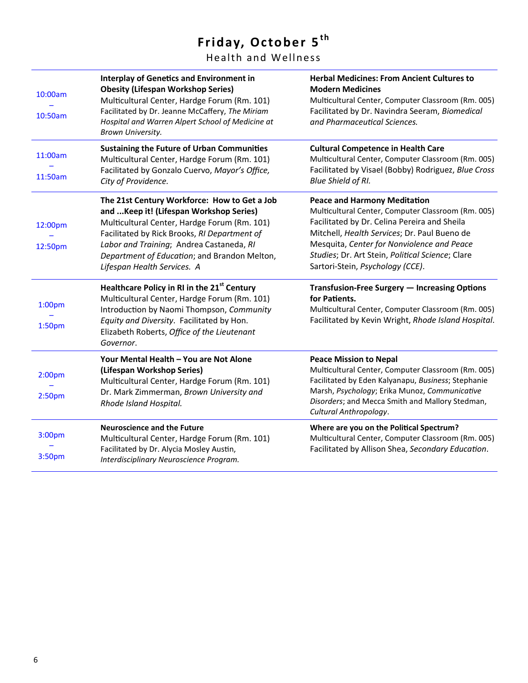# Friday, October 5<sup>th</sup>

Health and Wellness

| 10:00am                                  | <b>Interplay of Genetics and Environment in</b><br><b>Obesity (Lifespan Workshop Series)</b><br>Multicultural Center, Hardge Forum (Rm. 101)<br>Facilitated by Dr. Jeanne McCaffery, The Miriam                                                                                                                     | <b>Herbal Medicines: From Ancient Cultures to</b><br><b>Modern Medicines</b><br>Multicultural Center, Computer Classroom (Rm. 005)<br>Facilitated by Dr. Navindra Seeram, Biomedical                                                                                                                                            |
|------------------------------------------|---------------------------------------------------------------------------------------------------------------------------------------------------------------------------------------------------------------------------------------------------------------------------------------------------------------------|---------------------------------------------------------------------------------------------------------------------------------------------------------------------------------------------------------------------------------------------------------------------------------------------------------------------------------|
| 10:50am                                  | Hospital and Warren Alpert School of Medicine at<br>Brown University.                                                                                                                                                                                                                                               | and Pharmaceutical Sciences.                                                                                                                                                                                                                                                                                                    |
| 11:00am                                  | <b>Sustaining the Future of Urban Communities</b><br>Multicultural Center, Hardge Forum (Rm. 101)                                                                                                                                                                                                                   | <b>Cultural Competence in Health Care</b><br>Multicultural Center, Computer Classroom (Rm. 005)                                                                                                                                                                                                                                 |
| 11:50am                                  | Facilitated by Gonzalo Cuervo, Mayor's Office,<br>City of Providence.                                                                                                                                                                                                                                               | Facilitated by Visael (Bobby) Rodriguez, Blue Cross<br>Blue Shield of RI.                                                                                                                                                                                                                                                       |
| 12:00pm<br>12:50pm                       | The 21st Century Workforce: How to Get a Job<br>and  Keep it! (Lifespan Workshop Series)<br>Multicultural Center, Hardge Forum (Rm. 101)<br>Facilitated by Rick Brooks, RI Department of<br>Labor and Training; Andrea Castaneda, RI<br>Department of Education; and Brandon Melton,<br>Lifespan Health Services. A | <b>Peace and Harmony Meditation</b><br>Multicultural Center, Computer Classroom (Rm. 005)<br>Facilitated by Dr. Celina Pereira and Sheila<br>Mitchell, Health Services; Dr. Paul Bueno de<br>Mesquita, Center for Nonviolence and Peace<br>Studies; Dr. Art Stein, Political Science; Clare<br>Sartori-Stein, Psychology (CCE). |
| 1:00 <sub>pm</sub><br>1:50 <sub>pm</sub> | Healthcare Policy in RI in the 21 <sup>st</sup> Century<br>Multicultural Center, Hardge Forum (Rm. 101)<br>Introduction by Naomi Thompson, Community<br>Equity and Diversity. Facilitated by Hon.<br>Elizabeth Roberts, Office of the Lieutenant<br>Governor.                                                       | Transfusion-Free Surgery - Increasing Options<br>for Patients.<br>Multicultural Center, Computer Classroom (Rm. 005)<br>Facilitated by Kevin Wright, Rhode Island Hospital.                                                                                                                                                     |
| 2:00 <sub>pm</sub><br>2:50 <sub>pm</sub> | Your Mental Health - You are Not Alone<br>(Lifespan Workshop Series)<br>Multicultural Center, Hardge Forum (Rm. 101)<br>Dr. Mark Zimmerman, Brown University and<br>Rhode Island Hospital.                                                                                                                          | <b>Peace Mission to Nepal</b><br>Multicultural Center, Computer Classroom (Rm. 005)<br>Facilitated by Eden Kalyanapu, Business; Stephanie<br>Marsh, Psychology; Erika Munoz, Communicative<br>Disorders; and Mecca Smith and Mallory Stedman,<br>Cultural Anthropology.                                                         |
| 3:00pm                                   | <b>Neuroscience and the Future</b><br>Multicultural Center, Hardge Forum (Rm. 101)                                                                                                                                                                                                                                  | Where are you on the Political Spectrum?<br>Multicultural Center, Computer Classroom (Rm. 005)                                                                                                                                                                                                                                  |
| 3:50pm                                   | Facilitated by Dr. Alycia Mosley Austin,<br>Interdisciplinary Neuroscience Program.                                                                                                                                                                                                                                 | Facilitated by Allison Shea, Secondary Education.                                                                                                                                                                                                                                                                               |